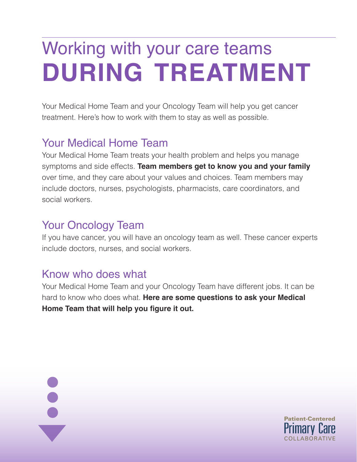# Working with your care teams **during treatment**

Your Medical Home Team and your Oncology Team will help you get cancer treatment. Here's how to work with them to stay as well as possible.

### Your Medical Home Team

Your Medical Home Team treats your health problem and helps you manage symptoms and side effects. **Team members get to know you and your family** over time, and they care about your values and choices. Team members may include doctors, nurses, psychologists, pharmacists, care coordinators, and social workers.

#### Your Oncology Team

If you have cancer, you will have an oncology team as well. These cancer experts include doctors, nurses, and social workers.

#### Know who does what

 $\ddot{\bullet}$ 

Your Medical Home Team and your Oncology Team have different jobs. It can be hard to know who does what. **Here are some questions to ask your Medical Home Team that will help you figure it out.** 

COLLABORATIVE

Patient-Centered